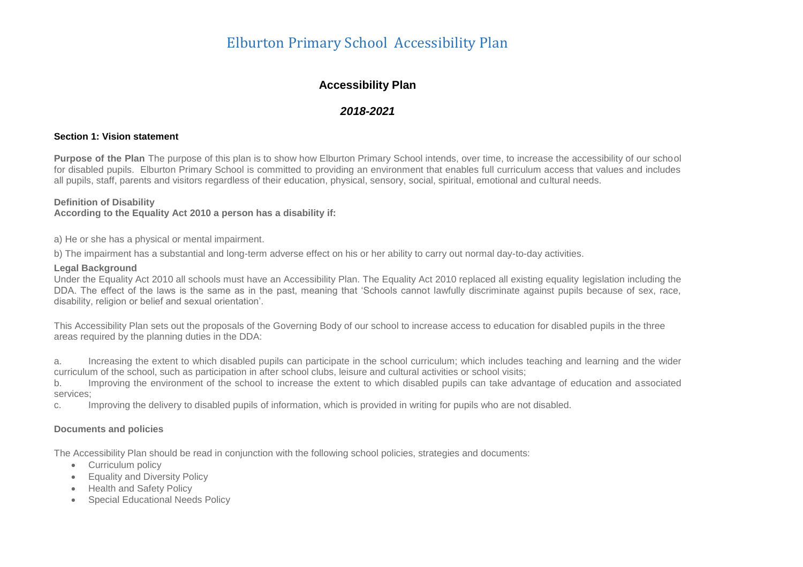### **Accessibility Plan**

### *2018-2021*

#### **Section 1: Vision statement**

**Purpose of the Plan** The purpose of this plan is to show how Elburton Primary School intends, over time, to increase the accessibility of our school for disabled pupils. Elburton Primary School is committed to providing an environment that enables full curriculum access that values and includes all pupils, staff, parents and visitors regardless of their education, physical, sensory, social, spiritual, emotional and cultural needs.

#### **Definition of Disability**

**According to the Equality Act 2010 a person has a disability if:**

a) He or she has a physical or mental impairment.

b) The impairment has a substantial and long-term adverse effect on his or her ability to carry out normal day-to-day activities.

#### **Legal Background**

Under the Equality Act 2010 all schools must have an Accessibility Plan. The Equality Act 2010 replaced all existing equality legislation including the DDA. The effect of the laws is the same as in the past, meaning that 'Schools cannot lawfully discriminate against pupils because of sex, race, disability, religion or belief and sexual orientation'.

This Accessibility Plan sets out the proposals of the Governing Body of our school to increase access to education for disabled pupils in the three areas required by the planning duties in the DDA:

a. Increasing the extent to which disabled pupils can participate in the school curriculum; which includes teaching and learning and the wider curriculum of the school, such as participation in after school clubs, leisure and cultural activities or school visits;

b. Improving the environment of the school to increase the extent to which disabled pupils can take advantage of education and associated services;

c. Improving the delivery to disabled pupils of information, which is provided in writing for pupils who are not disabled.

#### **Documents and policies**

The Accessibility Plan should be read in conjunction with the following school policies, strategies and documents:

- Curriculum policy
- **Equality and Diversity Policy**
- Health and Safety Policy
- Special Educational Needs Policy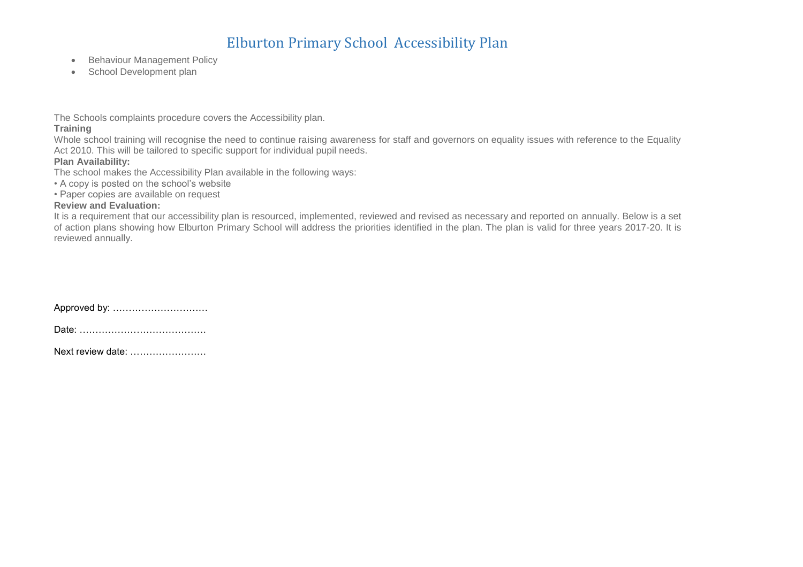- Behaviour Management Policy
- School Development plan

The Schools complaints procedure covers the Accessibility plan.

#### **Training**

Whole school training will recognise the need to continue raising awareness for staff and governors on equality issues with reference to the Equality Act 2010. This will be tailored to specific support for individual pupil needs.

#### **Plan Availability:**

The school makes the Accessibility Plan available in the following ways:

• A copy is posted on the school's website

• Paper copies are available on request

#### **Review and Evaluation:**

It is a requirement that our accessibility plan is resourced, implemented, reviewed and revised as necessary and reported on annually. Below is a set of action plans showing how Elburton Primary School will address the priorities identified in the plan. The plan is valid for three years 2017-20. It is reviewed annually.

| Approved by: |  |  |  |
|--------------|--|--|--|
|--------------|--|--|--|

Next review date: ……………………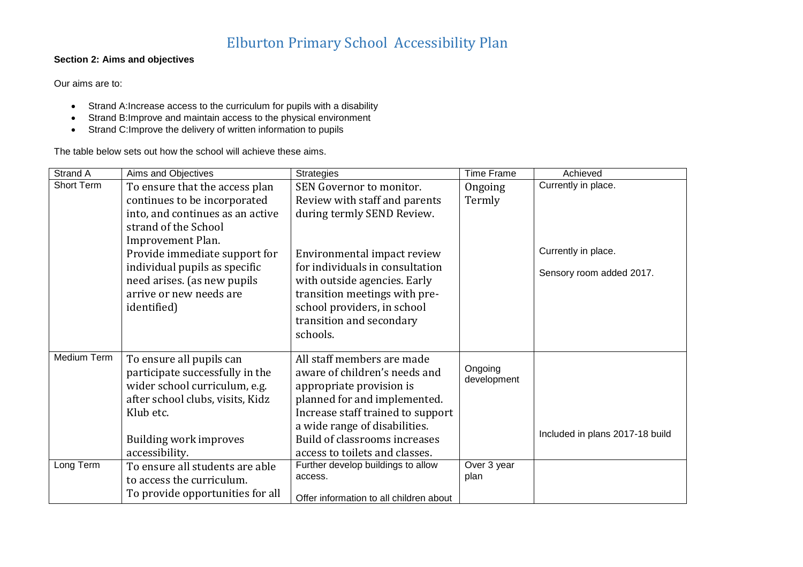#### **Section 2: Aims and objectives**

Our aims are to:

- Strand A:Increase access to the curriculum for pupils with a disability
- Strand B:Improve and maintain access to the physical environment
- Strand C:Improve the delivery of written information to pupils

The table below sets out how the school will achieve these aims.

| Strand A          | Aims and Objectives                                                                                                                                                                                                                                                                        | <b>Strategies</b>                                                                                                                                                                                                                                                                                 | <b>Time Frame</b>      | Achieved                                                               |
|-------------------|--------------------------------------------------------------------------------------------------------------------------------------------------------------------------------------------------------------------------------------------------------------------------------------------|---------------------------------------------------------------------------------------------------------------------------------------------------------------------------------------------------------------------------------------------------------------------------------------------------|------------------------|------------------------------------------------------------------------|
| <b>Short Term</b> | To ensure that the access plan<br>continues to be incorporated<br>into, and continues as an active<br>strand of the School<br>Improvement Plan.<br>Provide immediate support for<br>individual pupils as specific<br>need arises. (as new pupils<br>arrive or new needs are<br>identified) | SEN Governor to monitor.<br>Review with staff and parents<br>during termly SEND Review.<br>Environmental impact review<br>for individuals in consultation<br>with outside agencies. Early<br>transition meetings with pre-<br>school providers, in school<br>transition and secondary<br>schools. | Ongoing<br>Termly      | Currently in place.<br>Currently in place.<br>Sensory room added 2017. |
| Medium Term       | To ensure all pupils can<br>participate successfully in the<br>wider school curriculum, e.g.<br>after school clubs, visits, Kidz<br>Klub etc.<br>Building work improves<br>accessibility.                                                                                                  | All staff members are made<br>aware of children's needs and<br>appropriate provision is<br>planned for and implemented.<br>Increase staff trained to support<br>a wide range of disabilities.<br>Build of classrooms increases<br>access to toilets and classes.                                  | Ongoing<br>development | Included in plans 2017-18 build                                        |
| Long Term         | To ensure all students are able<br>to access the curriculum.<br>To provide opportunities for all                                                                                                                                                                                           | Further develop buildings to allow<br>access.<br>Offer information to all children about                                                                                                                                                                                                          | Over 3 year<br>plan    |                                                                        |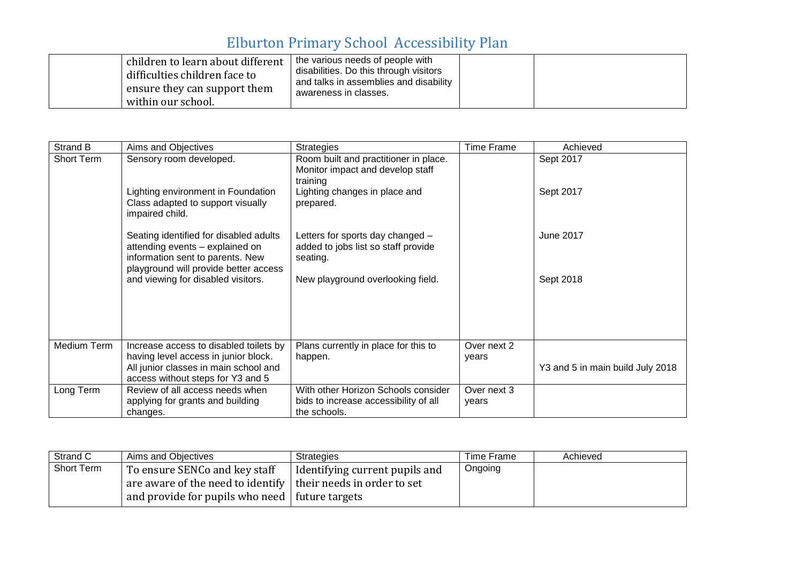| children to learn about different<br>difficulties children face to<br>ensure they can support them<br>within our school. | the various needs of people with<br>disabilities. Do this through visitors<br>and talks in assemblies and disability<br>awareness in classes. |  |
|--------------------------------------------------------------------------------------------------------------------------|-----------------------------------------------------------------------------------------------------------------------------------------------|--|
|                                                                                                                          |                                                                                                                                               |  |

| Strand B    | Aims and Objectives                                                                                                                                    | <b>Strategies</b>                                                                     | <b>Time Frame</b>    | Achieved                         |
|-------------|--------------------------------------------------------------------------------------------------------------------------------------------------------|---------------------------------------------------------------------------------------|----------------------|----------------------------------|
| Short Term  | Sensory room developed.                                                                                                                                | Room built and practitioner in place.<br>Monitor impact and develop staff<br>training |                      | Sept 2017                        |
|             | Lighting environment in Foundation<br>Class adapted to support visually<br>impaired child.                                                             | Lighting changes in place and<br>prepared.                                            |                      | Sept 2017                        |
|             | Seating identified for disabled adults<br>attending events - explained on<br>information sent to parents. New<br>playground will provide better access | Letters for sports day changed -<br>added to jobs list so staff provide<br>seating.   |                      | <b>June 2017</b>                 |
|             | and viewing for disabled visitors.                                                                                                                     | New playground overlooking field.                                                     |                      | Sept 2018                        |
| Medium Term | Increase access to disabled toilets by<br>having level access in junior block.                                                                         | Plans currently in place for this to<br>happen.                                       | Over next 2<br>years |                                  |
|             | All junior classes in main school and<br>access without steps for Y3 and 5                                                                             |                                                                                       |                      | Y3 and 5 in main build July 2018 |
| Long Term   | Review of all access needs when                                                                                                                        | With other Horizon Schools consider                                                   | Over next 3          |                                  |
|             | applying for grants and building<br>changes.                                                                                                           | bids to increase accessibility of all<br>the schools.                                 | years                |                                  |

| Strand C   | Aims and Objectives                                                           | <b>Strategies</b>              | Time Frame | Achieved |
|------------|-------------------------------------------------------------------------------|--------------------------------|------------|----------|
| Short Term | To ensure SENCo and key staff                                                 | Identifying current pupils and | Ongoing    |          |
|            | $\vert$ are aware of the need to identify $\vert$ their needs in order to set |                                |            |          |
|            | and provide for pupils who need $\vert$ future targets                        |                                |            |          |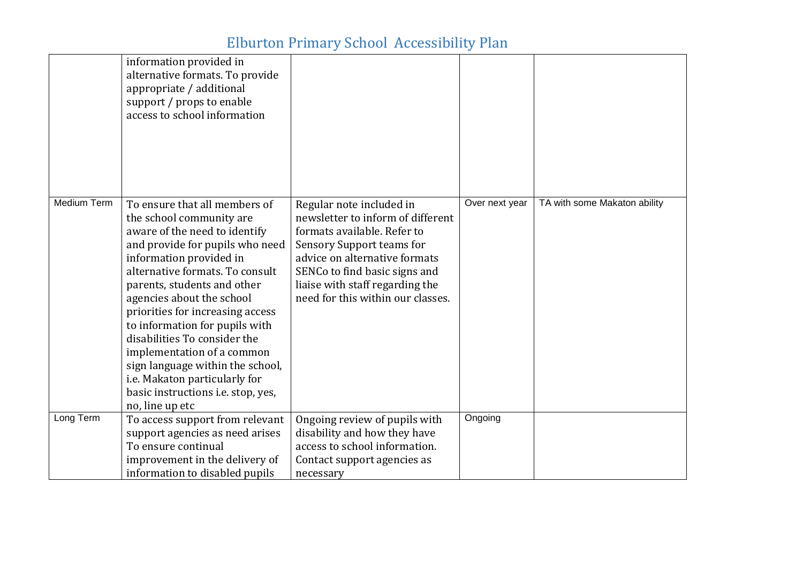|                    | information provided in<br>alternative formats. To provide<br>appropriate / additional<br>support / props to enable<br>access to school information                                                                                                                                                                                                                                                                                                                                                                       |                                                                                                                                                                                                                                                                     |                |                              |
|--------------------|---------------------------------------------------------------------------------------------------------------------------------------------------------------------------------------------------------------------------------------------------------------------------------------------------------------------------------------------------------------------------------------------------------------------------------------------------------------------------------------------------------------------------|---------------------------------------------------------------------------------------------------------------------------------------------------------------------------------------------------------------------------------------------------------------------|----------------|------------------------------|
| <b>Medium Term</b> | To ensure that all members of<br>the school community are<br>aware of the need to identify<br>and provide for pupils who need<br>information provided in<br>alternative formats. To consult<br>parents, students and other<br>agencies about the school<br>priorities for increasing access<br>to information for pupils with<br>disabilities To consider the<br>implementation of a common<br>sign language within the school,<br>i.e. Makaton particularly for<br>basic instructions i.e. stop, yes,<br>no, line up etc | Regular note included in<br>newsletter to inform of different<br>formats available. Refer to<br>Sensory Support teams for<br>advice on alternative formats<br>SENCo to find basic signs and<br>liaise with staff regarding the<br>need for this within our classes. | Over next year | TA with some Makaton ability |
| Long Term          | To access support from relevant<br>support agencies as need arises<br>To ensure continual<br>improvement in the delivery of<br>information to disabled pupils                                                                                                                                                                                                                                                                                                                                                             | Ongoing review of pupils with<br>disability and how they have<br>access to school information.<br>Contact support agencies as<br>necessary                                                                                                                          | Ongoing        |                              |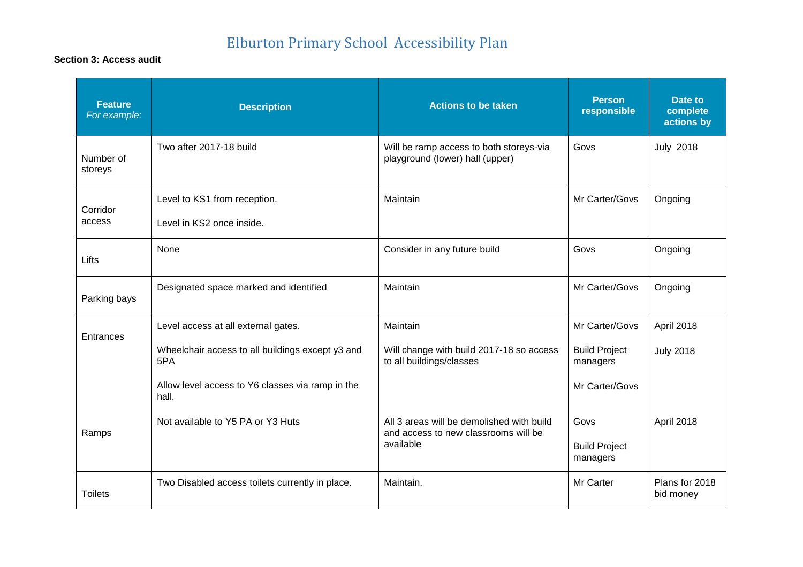### **Section 3: Access audit**

| <b>Feature</b><br>For example: | <b>Description</b>                                                                                                                                          | <b>Actions to be taken</b>                                                                     | <b>Person</b><br>responsible                                         | Date to<br>complete<br>actions by |
|--------------------------------|-------------------------------------------------------------------------------------------------------------------------------------------------------------|------------------------------------------------------------------------------------------------|----------------------------------------------------------------------|-----------------------------------|
| Number of<br>storeys           | Two after 2017-18 build                                                                                                                                     | Will be ramp access to both storeys-via<br>playground (lower) hall (upper)                     | Govs                                                                 | <b>July 2018</b>                  |
| Corridor<br>access             | Level to KS1 from reception.<br>Level in KS2 once inside.                                                                                                   | Maintain                                                                                       | Mr Carter/Govs                                                       | Ongoing                           |
| Lifts                          | None                                                                                                                                                        | Consider in any future build                                                                   | Govs                                                                 | Ongoing                           |
| Parking bays                   | Designated space marked and identified                                                                                                                      | Maintain                                                                                       | Mr Carter/Govs                                                       | Ongoing                           |
| Entrances                      | Level access at all external gates.<br>Wheelchair access to all buildings except y3 and<br>5PA<br>Allow level access to Y6 classes via ramp in the<br>hall. | Maintain<br>Will change with build 2017-18 so access<br>to all buildings/classes               | Mr Carter/Govs<br><b>Build Project</b><br>managers<br>Mr Carter/Govs | April 2018<br><b>July 2018</b>    |
| Ramps                          | Not available to Y5 PA or Y3 Huts                                                                                                                           | All 3 areas will be demolished with build<br>and access to new classrooms will be<br>available | Govs<br><b>Build Project</b><br>managers                             | April 2018                        |
| <b>Toilets</b>                 | Two Disabled access toilets currently in place.                                                                                                             | Maintain.                                                                                      | Mr Carter                                                            | Plans for 2018<br>bid money       |